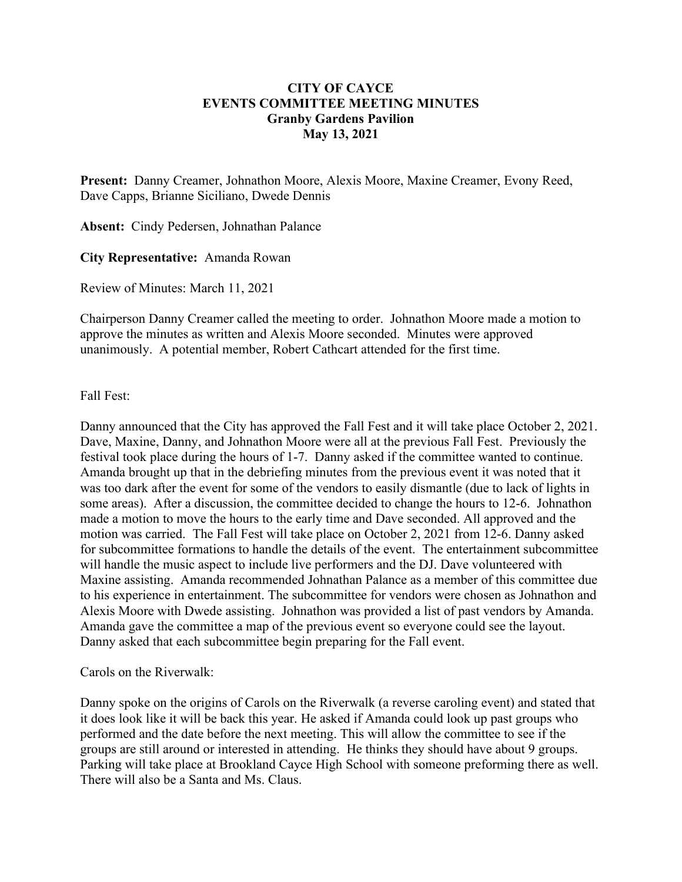## **CITY OF CAYCE EVENTS COMMITTEE MEETING MINUTES Granby Gardens Pavilion May 13, 2021**

**Present:** Danny Creamer, Johnathon Moore, Alexis Moore, Maxine Creamer, Evony Reed, Dave Capps, Brianne Siciliano, Dwede Dennis

**Absent:** Cindy Pedersen, Johnathan Palance

**City Representative:** Amanda Rowan

Review of Minutes: March 11, 2021

Chairperson Danny Creamer called the meeting to order. Johnathon Moore made a motion to approve the minutes as written and Alexis Moore seconded. Minutes were approved unanimously. A potential member, Robert Cathcart attended for the first time.

Fall Fest:

Danny announced that the City has approved the Fall Fest and it will take place October 2, 2021. Dave, Maxine, Danny, and Johnathon Moore were all at the previous Fall Fest. Previously the festival took place during the hours of 1-7. Danny asked if the committee wanted to continue. Amanda brought up that in the debriefing minutes from the previous event it was noted that it was too dark after the event for some of the vendors to easily dismantle (due to lack of lights in some areas). After a discussion, the committee decided to change the hours to 12-6. Johnathon made a motion to move the hours to the early time and Dave seconded. All approved and the motion was carried. The Fall Fest will take place on October 2, 2021 from 12-6. Danny asked for subcommittee formations to handle the details of the event. The entertainment subcommittee will handle the music aspect to include live performers and the DJ. Dave volunteered with Maxine assisting. Amanda recommended Johnathan Palance as a member of this committee due to his experience in entertainment. The subcommittee for vendors were chosen as Johnathon and Alexis Moore with Dwede assisting. Johnathon was provided a list of past vendors by Amanda. Amanda gave the committee a map of the previous event so everyone could see the layout. Danny asked that each subcommittee begin preparing for the Fall event.

Carols on the Riverwalk:

Danny spoke on the origins of Carols on the Riverwalk (a reverse caroling event) and stated that it does look like it will be back this year. He asked if Amanda could look up past groups who performed and the date before the next meeting. This will allow the committee to see if the groups are still around or interested in attending. He thinks they should have about 9 groups. Parking will take place at Brookland Cayce High School with someone preforming there as well. There will also be a Santa and Ms. Claus.